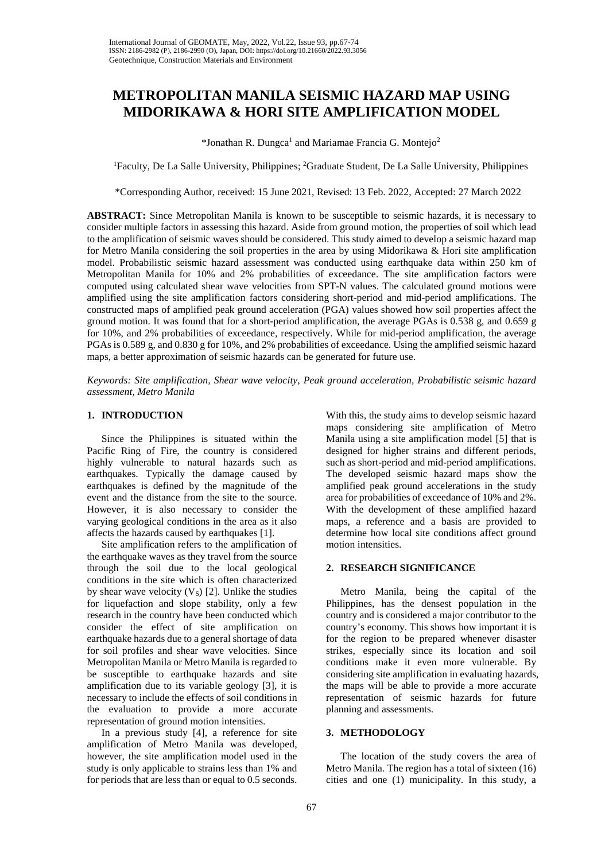# **METROPOLITAN MANILA SEISMIC HAZARD MAP USING MIDORIKAWA & HORI SITE AMPLIFICATION MODEL**

 $*$ Jonathan R. Dungca<sup>1</sup> and Mariamae Francia G. Montejo<sup>2</sup>

<sup>1</sup>Faculty, De La Salle University, Philippines; <sup>2</sup>Graduate Student, De La Salle University, Philippines

\*Corresponding Author, received: 15 June 2021, Revised: 13 Feb. 2022, Accepted: 27 March 2022

**ABSTRACT:** Since Metropolitan Manila is known to be susceptible to seismic hazards, it is necessary to consider multiple factors in assessing this hazard. Aside from ground motion, the properties of soil which lead to the amplification of seismic waves should be considered. This study aimed to develop a seismic hazard map for Metro Manila considering the soil properties in the area by using Midorikawa & Hori site amplification model. Probabilistic seismic hazard assessment was conducted using earthquake data within 250 km of Metropolitan Manila for 10% and 2% probabilities of exceedance. The site amplification factors were computed using calculated shear wave velocities from SPT-N values. The calculated ground motions were amplified using the site amplification factors considering short-period and mid-period amplifications. The constructed maps of amplified peak ground acceleration (PGA) values showed how soil properties affect the ground motion. It was found that for a short-period amplification, the average PGAs is 0.538 g, and 0.659 g for 10%, and 2% probabilities of exceedance, respectively. While for mid-period amplification, the average PGAs is 0.589 g, and 0.830 g for 10%, and 2% probabilities of exceedance. Using the amplified seismic hazard maps, a better approximation of seismic hazards can be generated for future use.

*Keywords: Site amplification, Shear wave velocity, Peak ground acceleration, Probabilistic seismic hazard assessment, Metro Manila*

### **1. INTRODUCTION**

Since the Philippines is situated within the Pacific Ring of Fire, the country is considered highly vulnerable to natural hazards such as earthquakes. Typically the damage caused by earthquakes is defined by the magnitude of the event and the distance from the site to the source. However, it is also necessary to consider the varying geological conditions in the area as it also affects the hazards caused by earthquakes [1].

Site amplification refers to the amplification of the earthquake waves as they travel from the source through the soil due to the local geological conditions in the site which is often characterized by shear wave velocity  $(V<sub>S</sub>)$  [2]. Unlike the studies for liquefaction and slope stability, only a few research in the country have been conducted which consider the effect of site amplification on earthquake hazards due to a general shortage of data for soil profiles and shear wave velocities. Since Metropolitan Manila or Metro Manila is regarded to be susceptible to earthquake hazards and site amplification due to its variable geology [3], it is necessary to include the effects of soil conditions in the evaluation to provide a more accurate representation of ground motion intensities.

In a previous study [4], a reference for site amplification of Metro Manila was developed, however, the site amplification model used in the study is only applicable to strains less than 1% and for periods that are less than or equal to 0.5 seconds.

With this, the study aims to develop seismic hazard maps considering site amplification of Metro Manila using a site amplification model [5] that is designed for higher strains and different periods, such as short-period and mid-period amplifications. The developed seismic hazard maps show the amplified peak ground accelerations in the study area for probabilities of exceedance of 10% and 2%. With the development of these amplified hazard maps, a reference and a basis are provided to determine how local site conditions affect ground motion intensities.

## **2. RESEARCH SIGNIFICANCE**

Metro Manila, being the capital of the Philippines, has the densest population in the country and is considered a major contributor to the country's economy. This shows how important it is for the region to be prepared whenever disaster strikes, especially since its location and soil conditions make it even more vulnerable. By considering site amplification in evaluating hazards, the maps will be able to provide a more accurate representation of seismic hazards for future planning and assessments.

# **3. METHODOLOGY**

The location of the study covers the area of Metro Manila. The region has a total of sixteen (16) cities and one (1) municipality. In this study, a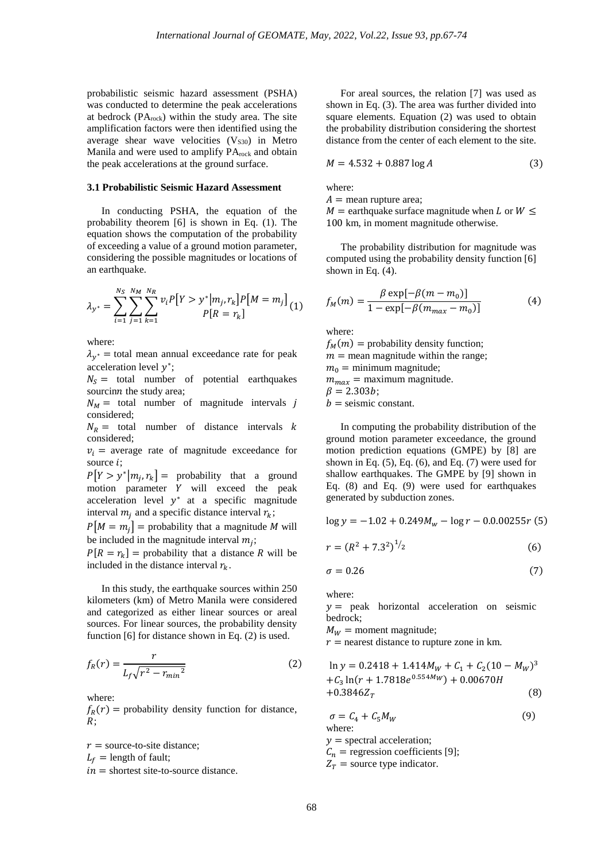probabilistic seismic hazard assessment (PSHA) was conducted to determine the peak accelerations at bedrock  $(PA_{rock})$  within the study area. The site amplification factors were then identified using the average shear wave velocities  $(V<sub>S30</sub>)$  in Metro Manila and were used to amplify PA<sub>rock</sub> and obtain the peak accelerations at the ground surface.

# **3.1 Probabilistic Seismic Hazard Assessment**

In conducting PSHA, the equation of the probability theorem [6] is shown in Eq. (1). The equation shows the computation of the probability of exceeding a value of a ground motion parameter, considering the possible magnitudes or locations of an earthquake.

$$
\lambda_{y^*} = \sum_{i=1}^{N_S} \sum_{j=1}^{N_M} \sum_{k=1}^{N_R} v_i P[Y > y^* | m_j, r_k] P[M = m_j] \tag{1}
$$

where:

 $\lambda_{v^*}$  = total mean annual exceedance rate for peak acceleration level  $v^*$ ;

 $N<sub>S</sub>$  = total number of potential earthquakes sourcinn the study area;

 $N_M$  = total number of magnitude intervals j considered;

 $N_R$  = total number of distance intervals k considered;

 $v_i$  = average rate of magnitude exceedance for source  $i$ ;

 $P[Y > y^* | m_i, r_k] =$  probability that a ground motion parameter Y will exceed the peak acceleration level  $y^*$  at a specific magnitude interval  $m_i$  and a specific distance interval  $r_k$ ;

 $P[M = m_i] =$  probability that a magnitude M will be included in the magnitude interval  $m_i$ ;

 $P[R = r_k] =$  probability that a distance R will be included in the distance interval  $r_k$ .

In this study, the earthquake sources within 250 kilometers (km) of Metro Manila were considered and categorized as either linear sources or areal sources. For linear sources, the probability density function [6] for distance shown in Eq. (2) is used.

$$
f_R(r) = \frac{r}{L_f \sqrt{r^2 - r_{min}^2}}\tag{2}
$$

where:

 $f_R(r)$  = probability density function for distance,  $R \cdot$ 

 $r =$  source-to-site distance;  $L_f$  = length of fault;  $in =$  shortest site-to-source distance.

For areal sources, the relation [7] was used as shown in Eq. (3). The area was further divided into square elements. Equation (2) was used to obtain the probability distribution considering the shortest distance from the center of each element to the site.

$$
M = 4.532 + 0.887 \log A \tag{3}
$$

where:

 $A =$  mean rupture area;

 $M =$  earthquake surface magnitude when L or  $W \leq$ 100 km, in moment magnitude otherwise.

The probability distribution for magnitude was computed using the probability density function [6] shown in Eq. (4).

$$
f_M(m) = \frac{\beta \exp[-\beta(m - m_0)]}{1 - \exp[-\beta(m_{max} - m_0)]}
$$
(4)

where:

 $f_M(m)$  = probability density function;  $m =$  mean magnitude within the range;  $m_0$  = minimum magnitude;

 $m_{max}$  = maximum magnitude.

 $\beta = 2.303b;$ 

 $b =$  seismic constant.

In computing the probability distribution of the ground motion parameter exceedance, the ground motion prediction equations (GMPE) by [8] are shown in Eq. (5), Eq. (6), and Eq. (7) were used for shallow earthquakes. The GMPE by [9] shown in Eq. (8) and Eq. (9) were used for earthquakes generated by subduction zones.

$$
\log y = -1.02 + 0.249M_w - \log r - 0.000255r
$$
 (5)

$$
r = (R^2 + 7.3^2)^{1/2} \tag{6}
$$

$$
\sigma = 0.26\tag{7}
$$

where:

 $y =$  peak horizontal acceleration on seismic bedrock;

 $M_W =$  moment magnitude;

 $r$  = nearest distance to rupture zone in km.

$$
\ln y = 0.2418 + 1.414M_W + C_1 + C_2(10 - M_W)^3
$$
  
+C<sub>3</sub> ln(r + 1.7818e<sup>0.554M</sup>W) + 0.00670H  
+0.3846Z<sub>T</sub> (8)

$$
\sigma = C_4 + C_5 M_W
$$
\nwhere:  
\n
$$
y = \text{spectral acceleration};
$$
\n
$$
C_n = \text{regression coefficients [9];}
$$
\n
$$
Z_T = \text{source type indicator}.
$$
\n(9)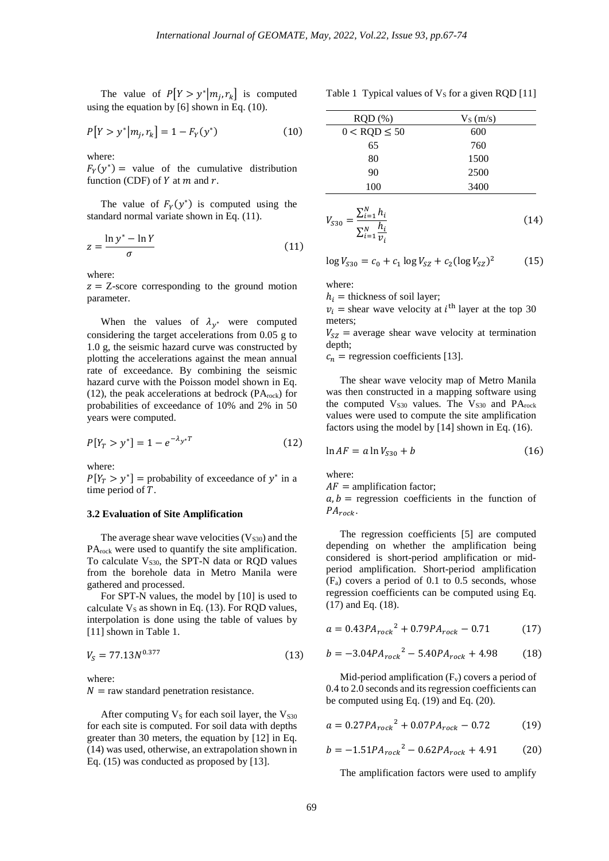The value of  $P[Y > y^* | m_i, r_k]$  is computed using the equation by [6] shown in Eq. (10).

$$
P[Y > y^* | m_j, r_k] = 1 - F_Y(y^*)
$$
 (10)

where:

 $F_Y(y^*)$  = value of the cumulative distribution function (CDF) of  $Y$  at  $m$  and  $r$ .

The value of  $F_Y(y^*)$  is computed using the standard normal variate shown in Eq. (11).

$$
z = \frac{\ln y^* - \ln Y}{\sigma} \tag{11}
$$

where:

 $z = Z$ -score corresponding to the ground motion parameter.

When the values of  $\lambda_{y^*}$  were computed considering the target accelerations from 0.05 g to 1.0 g, the seismic hazard curve was constructed by plotting the accelerations against the mean annual rate of exceedance. By combining the seismic hazard curve with the Poisson model shown in Eq. (12), the peak accelerations at bedrock ( $PA_{rock}$ ) for probabilities of exceedance of 10% and 2% in 50 years were computed.

$$
P[Y_T > y^*] = 1 - e^{-\lambda y^*T}
$$
 (12)

where:

 $P[Y_T > y^*]$  = probability of exceedance of y<sup>\*</sup> in a time period of  $T$ .

#### **3.2 Evaluation of Site Amplification**

The average shear wave velocities  $(V<sub>S30</sub>)$  and the PA<sub>rock</sub> were used to quantify the site amplification. To calculate  $V<sub>S30</sub>$ , the SPT-N data or RQD values from the borehole data in Metro Manila were gathered and processed.

For SPT-N values, the model by [10] is used to calculate  $V_s$  as shown in Eq. (13). For RQD values, interpolation is done using the table of values by [11] shown in Table 1.

$$
V_S = 77.13N^{0.377} \tag{13}
$$

where:

 $N =$  raw standard penetration resistance.

After computing  $V_S$  for each soil layer, the  $V_{S30}$ for each site is computed. For soil data with depths greater than 30 meters, the equation by [12] in Eq. (14) was used, otherwise, an extrapolation shown in Eq. (15) was conducted as proposed by [13].

Table 1 Typical values of  $V<sub>S</sub>$  for a given RQD [11]

| $ROD$ $%$           | $V_S(m/s)$ |
|---------------------|------------|
| $0 <$ RQD $\leq 50$ | 600        |
| 65                  | 760        |
| 80                  | 1500       |
| 90                  | 2500       |
| 100                 | 3400       |

$$
V_{S30} = \frac{\sum_{i=1}^{N} h_i}{\sum_{i=1}^{N} \frac{h_i}{v_i}}
$$
(14)

 $\log V_{S30} = c_0 + c_1 \log V_{SZ} + c_2 (\log V_{SZ})^2$  (15)

where:

 $h_i$  = thickness of soil layer;

 $v_i$  = shear wave velocity at *i*<sup>th</sup> layer at the top 30 meters;

 $V_{SZ}$  = average shear wave velocity at termination depth;

 $c_n$  = regression coefficients [13].

The shear wave velocity map of Metro Manila was then constructed in a mapping software using the computed  $V_{S30}$  values. The  $V_{S30}$  and  $PA_{rock}$ values were used to compute the site amplification factors using the model by [14] shown in Eq. (16).

$$
\ln AF = a \ln V_{S30} + b \tag{16}
$$

where:

 $AF =$  amplification factor;

 $a, b$  = regression coefficients in the function of  $PA_{rock}$ .

The regression coefficients [5] are computed depending on whether the amplification being considered is short-period amplification or midperiod amplification. Short-period amplification  $(F_a)$  covers a period of 0.1 to 0.5 seconds, whose regression coefficients can be computed using Eq. (17) and Eq. (18).

$$
a = 0.43PA_{rock}^2 + 0.79PA_{rock} - 0.71\tag{17}
$$

$$
b = -3.04PA_{rock}^2 - 5.40PA_{rock} + 4.98
$$
 (18)

Mid-period amplification  $(F_v)$  covers a period of 0.4 to 2.0 seconds and its regression coefficients can be computed using Eq. (19) and Eq. (20).

$$
a = 0.27PA_{rock}^2 + 0.07PA_{rock} - 0.72
$$
 (19)

$$
b = -1.51PA_{rock}^2 - 0.62PA_{rock} + 4.91
$$
 (20)

The amplification factors were used to amplify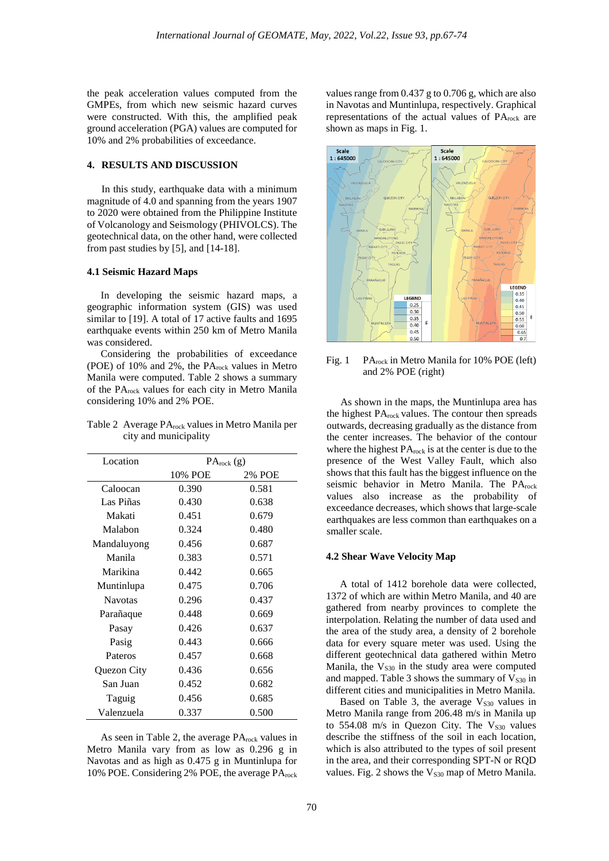the peak acceleration values computed from the GMPEs, from which new seismic hazard curves were constructed. With this, the amplified peak ground acceleration (PGA) values are computed for 10% and 2% probabilities of exceedance.

# **4. RESULTS AND DISCUSSION**

In this study, earthquake data with a minimum magnitude of 4.0 and spanning from the years 1907 to 2020 were obtained from the Philippine Institute of Volcanology and Seismology (PHIVOLCS). The geotechnical data, on the other hand, were collected from past studies by [5], and [14-18].

#### **4.1 Seismic Hazard Maps**

In developing the seismic hazard maps, a geographic information system (GIS) was used similar to [19]. A total of 17 active faults and 1695 earthquake events within 250 km of Metro Manila was considered.

Considering the probabilities of exceedance (POE) of 10% and 2%, the PA<sub>rock</sub> values in Metro Manila were computed. Table 2 shows a summary of the PArock values for each city in Metro Manila considering 10% and 2% POE.

Table 2 Average PA<sub>rock</sub> values in Metro Manila per city and municipality

| Location       | $PA_{rock}$ (g) |        |
|----------------|-----------------|--------|
|                | 10% POE         | 2% POE |
| Caloocan       | 0.390           | 0.581  |
| Las Piñas      | 0.430           | 0.638  |
| Makati         | 0.451           | 0.679  |
| Malabon        | 0.324           | 0.480  |
| Mandaluyong    | 0.456           | 0.687  |
| Manila         | 0.383           | 0.571  |
| Marikina       | 0.442           | 0.665  |
| Muntinlupa     | 0.475           | 0.706  |
| <b>Navotas</b> | 0.296           | 0.437  |
| Parañaque      | 0.448           | 0.669  |
| Pasay          | 0.426           | 0.637  |
| Pasig          | 0.443           | 0.666  |
| Pateros        | 0.457           | 0.668  |
| Quezon City    | 0.436           | 0.656  |
| San Juan       | 0.452           | 0.682  |
| Taguig         | 0.456           | 0.685  |
| Valenzuela     | 0.337           | 0.500  |

As seen in Table 2, the average  $PA_{rock}$  values in Metro Manila vary from as low as 0.296 g in Navotas and as high as 0.475 g in Muntinlupa for 10% POE. Considering 2% POE, the average PA<sub>rock</sub> values range from 0.437 g to 0.706 g, which are also in Navotas and Muntinlupa, respectively. Graphical representations of the actual values of PA<sub>rock</sub> are shown as maps in Fig. 1.



Fig. 1 PA<sub>rock</sub> in Metro Manila for 10% POE (left) and 2% POE (right)

As shown in the maps, the Muntinlupa area has the highest PA<sub>rock</sub> values. The contour then spreads outwards, decreasing gradually as the distance from the center increases. The behavior of the contour where the highest  $PA_{rock}$  is at the center is due to the presence of the West Valley Fault, which also shows that this fault has the biggest influence on the seismic behavior in Metro Manila. The PArock values also increase as the probability of exceedance decreases, which shows that large-scale earthquakes are less common than earthquakes on a smaller scale.

### **4.2 Shear Wave Velocity Map**

A total of 1412 borehole data were collected, 1372 of which are within Metro Manila, and 40 are gathered from nearby provinces to complete the interpolation. Relating the number of data used and the area of the study area, a density of 2 borehole data for every square meter was used. Using the different geotechnical data gathered within Metro Manila, the  $V<sub>S30</sub>$  in the study area were computed and mapped. Table 3 shows the summary of  $V<sub>S30</sub>$  in different cities and municipalities in Metro Manila.

Based on Table 3, the average  $V<sub>S30</sub>$  values in Metro Manila range from 206.48 m/s in Manila up to  $554.08$  m/s in Quezon City. The  $V<sub>S30</sub>$  values describe the stiffness of the soil in each location, which is also attributed to the types of soil present in the area, and their corresponding SPT-N or RQD values. Fig. 2 shows the  $V<sub>S30</sub>$  map of Metro Manila.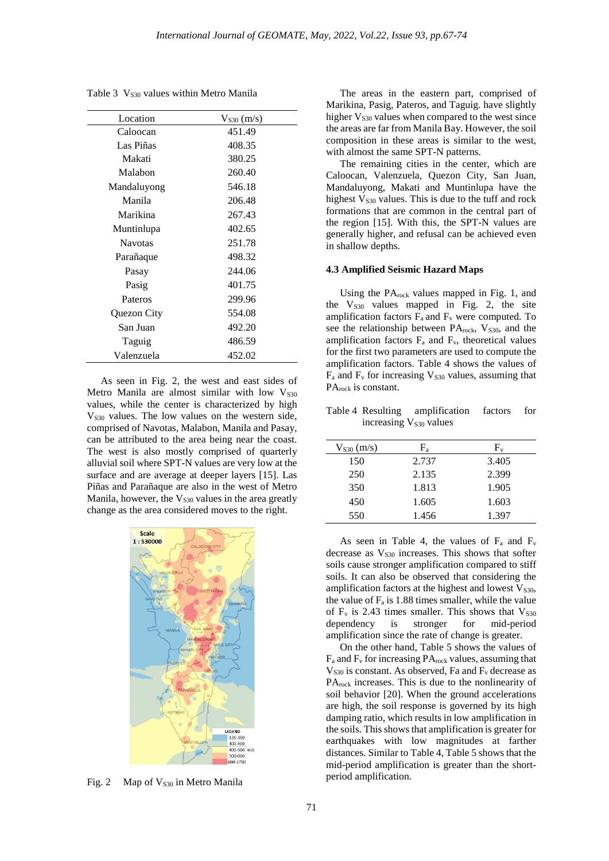Table 3 V<sub>S30</sub> values within Metro Manila

| Location       | $V_{S30}$ (m/s) |
|----------------|-----------------|
| Caloocan       | 451.49          |
| Las Piñas      | 408.35          |
| Makati         | 380.25          |
| Malabon        | 260.40          |
| Mandaluyong    | 546.18          |
| Manila         | 206.48          |
| Marikina       | 267.43          |
| Muntinlupa     | 402.65          |
| <b>Navotas</b> | 251.78          |
| Parañaque      | 498.32          |
| Pasay          | 244.06          |
| Pasig          | 401.75          |
| Pateros        | 299.96          |
| Quezon City    | 554.08          |
| San Juan       | 492.20          |
| Taguig         | 486.59          |
| Valenzuela     | 452.02          |

As seen in Fig. 2, the west and east sides of Metro Manila are almost similar with low  $V<sub>S30</sub>$ values, while the center is characterized by high  $V<sub>S30</sub>$  values. The low values on the western side, comprised of Navotas, Malabon, Manila and Pasay, can be attributed to the area being near the coast. The west is also mostly comprised of quarterly alluvial soil where SPT-N values are very low at the surface and are average at deeper layers [15]. Las Piñas and Parañaque are also in the west of Metro Manila, however, the  $V<sub>S30</sub>$  values in the area greatly change as the area considered moves to the right.



Fig. 2 Map of  $V<sub>S30</sub>$  in Metro Manila

The areas in the eastern part, comprised of Marikina, Pasig, Pateros, and Taguig. have slightly higher  $V<sub>S30</sub>$  values when compared to the west since the areas are far from Manila Bay. However, the soil composition in these areas is similar to the west, with almost the same SPT-N patterns.

The remaining cities in the center, which are Caloocan, Valenzuela, Quezon City, San Juan, Mandaluyong, Makati and Muntinlupa have the highest  $V<sub>S30</sub>$  values. This is due to the tuff and rock formations that are common in the central part of the region [15]. With this, the SPT-N values are generally higher, and refusal can be achieved even in shallow depths.

### **4.3 Amplified Seismic Hazard Maps**

Using the PA<sub>rock</sub> values mapped in Fig. 1, and the  $V<sub>S30</sub>$  values mapped in Fig. 2, the site amplification factors  $F_a$  and  $F_v$  were computed. To see the relationship between PA<sub>rock</sub>, V<sub>S30</sub>, and the amplification factors  $F_a$  and  $F_v$ , theoretical values for the first two parameters are used to compute the amplification factors. Table 4 shows the values of  $F_a$  and  $F_v$  for increasing  $V_{s30}$  values, assuming that PA<sub>rock</sub> is constant.

Table 4 Resulting amplification factors for increasing  $V<sub>S30</sub>$  values

| $V_{S30}$ (m/s) | $F_a$ | $F_v$ |
|-----------------|-------|-------|
| 150             | 2.737 | 3.405 |
| 250             | 2.135 | 2.399 |
| 350             | 1.813 | 1.905 |
| 450             | 1.605 | 1.603 |
| 550             | 1.456 | 1.397 |

As seen in Table 4, the values of  $F_a$  and  $F_v$ decrease as  $V<sub>S30</sub>$  increases. This shows that softer soils cause stronger amplification compared to stiff soils. It can also be observed that considering the amplification factors at the highest and lowest  $V<sub>S30</sub>$ , the value of  $F_a$  is 1.88 times smaller, while the value of  $F_v$  is 2.43 times smaller. This shows that  $V_{s30}$ dependency is stronger for mid-period amplification since the rate of change is greater.

On the other hand, Table 5 shows the values of  $F_a$  and  $F_v$  for increasing  $PA_{rock}$  values, assuming that  $V<sub>S30</sub>$  is constant. As observed, Fa and  $F<sub>v</sub>$  decrease as PA<sub>rock</sub> increases. This is due to the nonlinearity of soil behavior [20]. When the ground accelerations are high, the soil response is governed by its high damping ratio, which results in low amplification in the soils. This shows that amplification is greater for earthquakes with low magnitudes at farther distances. Similar to Table 4, Table 5 shows that the mid-period amplification is greater than the shortperiod amplification.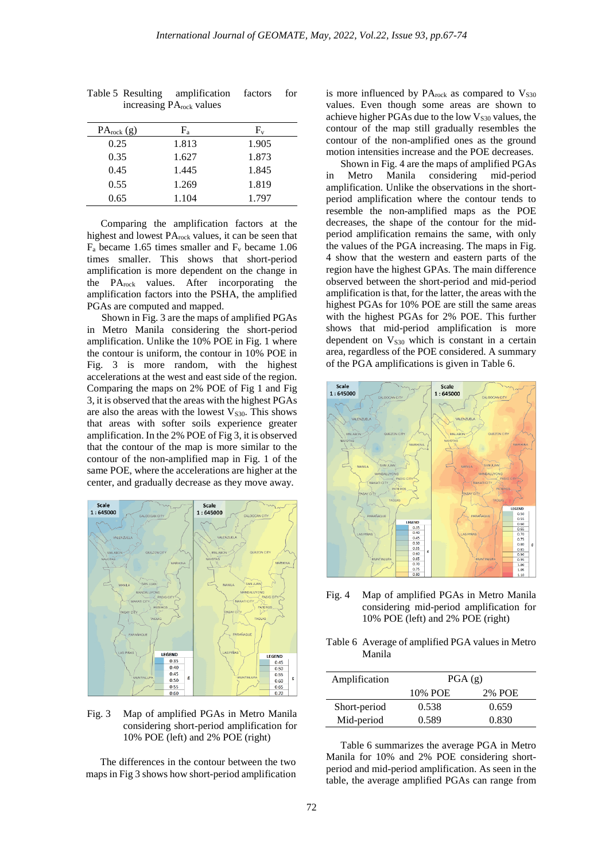| $PA_{rock}(g)$ | F,    | $\rm{F}_{\rm{v}}$ |
|----------------|-------|-------------------|
| 0.25           | 1.813 | 1.905             |
| 0.35           | 1.627 | 1.873             |
| 0.45           | 1.445 | 1.845             |
| 0.55           | 1.269 | 1.819             |
| 0.65           | 1.104 | 1.797             |
|                |       |                   |

Table 5 Resulting amplification factors for increasing PArock values

Comparing the amplification factors at the highest and lowest PA<sub>rock</sub> values, it can be seen that  $F_a$  became 1.65 times smaller and  $F_v$  became 1.06 times smaller. This shows that short-period amplification is more dependent on the change in the PArock values. After incorporating the amplification factors into the PSHA, the amplified PGAs are computed and mapped.

Shown in Fig. 3 are the maps of amplified PGAs in Metro Manila considering the short-period amplification. Unlike the 10% POE in Fig. 1 where the contour is uniform, the contour in 10% POE in Fig. 3 is more random, with the highest accelerations at the west and east side of the region. Comparing the maps on 2% POE of Fig 1 and Fig 3, it is observed that the areas with the highest PGAs are also the areas with the lowest  $V<sub>S30</sub>$ . This shows that areas with softer soils experience greater amplification. In the 2% POE of Fig 3, it is observed that the contour of the map is more similar to the contour of the non-amplified map in Fig. 1 of the same POE, where the accelerations are higher at the center, and gradually decrease as they move away.



Fig. 3 Map of amplified PGAs in Metro Manila considering short-period amplification for 10% POE (left) and 2% POE (right)

The differences in the contour between the two maps in Fig 3 shows how short-period amplification is more influenced by  $PA_{rock}$  as compared to  $V_{S30}$ values. Even though some areas are shown to achieve higher PGAs due to the low  $V<sub>S30</sub>$  values, the contour of the map still gradually resembles the contour of the non-amplified ones as the ground motion intensities increase and the POE decreases.

Shown in Fig. 4 are the maps of amplified PGAs<br>Metro Manila considering mid-period in Metro Manila considering amplification. Unlike the observations in the shortperiod amplification where the contour tends to resemble the non-amplified maps as the POE decreases, the shape of the contour for the midperiod amplification remains the same, with only the values of the PGA increasing. The maps in Fig. 4 show that the western and eastern parts of the region have the highest GPAs. The main difference observed between the short-period and mid-period amplification is that, for the latter, the areas with the highest PGAs for 10% POE are still the same areas with the highest PGAs for 2% POE. This further shows that mid-period amplification is more dependent on  $V<sub>S30</sub>$  which is constant in a certain area, regardless of the POE considered. A summary of the PGA amplifications is given in Table 6.



Fig. 4 Map of amplified PGAs in Metro Manila considering mid-period amplification for 10% POE (left) and 2% POE (right)

| Table 6 Average of amplified PGA values in Metro |
|--------------------------------------------------|
| Manila                                           |

| Amplification | PGA(g)  |        |
|---------------|---------|--------|
|               | 10% POE | 2% POE |
| Short-period  | 0.538   | 0.659  |
| Mid-period    | 0.589   | 0.830  |

Table 6 summarizes the average PGA in Metro Manila for 10% and 2% POE considering shortperiod and mid-period amplification. As seen in the table, the average amplified PGAs can range from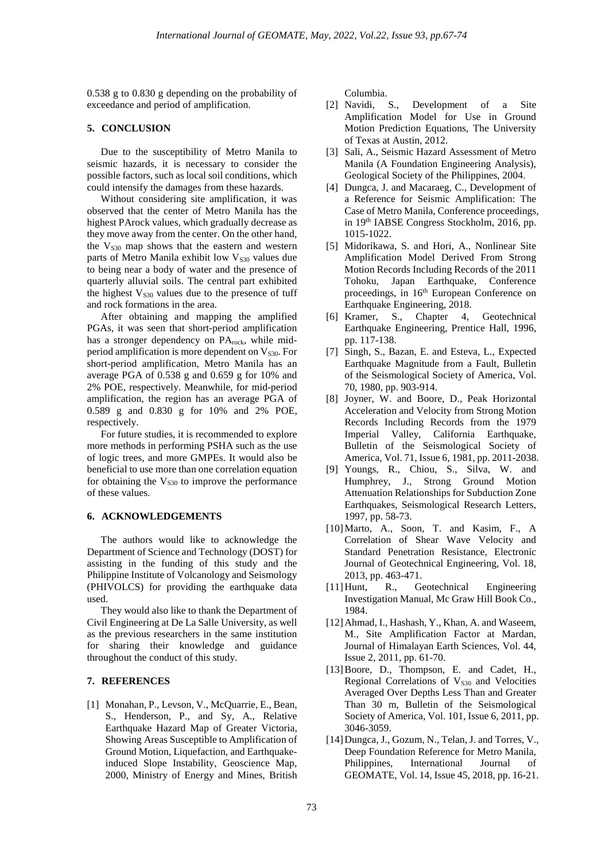0.538 g to 0.830 g depending on the probability of exceedance and period of amplification.

### **5. CONCLUSION**

Due to the susceptibility of Metro Manila to seismic hazards, it is necessary to consider the possible factors, such as local soil conditions, which could intensify the damages from these hazards.

Without considering site amplification, it was observed that the center of Metro Manila has the highest PArock values, which gradually decrease as they move away from the center. On the other hand, the  $V<sub>S30</sub>$  map shows that the eastern and western parts of Metro Manila exhibit low  $V<sub>S30</sub>$  values due to being near a body of water and the presence of quarterly alluvial soils. The central part exhibited the highest  $V<sub>S30</sub>$  values due to the presence of tuff and rock formations in the area.

After obtaining and mapping the amplified PGAs, it was seen that short-period amplification has a stronger dependency on PArock, while midperiod amplification is more dependent on  $V<sub>S30</sub>$ . For short-period amplification, Metro Manila has an average PGA of 0.538 g and 0.659 g for 10% and 2% POE, respectively. Meanwhile, for mid-period amplification, the region has an average PGA of 0.589 g and 0.830 g for 10% and 2% POE, respectively.

For future studies, it is recommended to explore more methods in performing PSHA such as the use of logic trees, and more GMPEs. It would also be beneficial to use more than one correlation equation for obtaining the  $V<sub>S30</sub>$  to improve the performance of these values.

#### **6. ACKNOWLEDGEMENTS**

The authors would like to acknowledge the Department of Science and Technology (DOST) for assisting in the funding of this study and the Philippine Institute of Volcanology and Seismology (PHIVOLCS) for providing the earthquake data used.

They would also like to thank the Department of Civil Engineering at De La Salle University, as well as the previous researchers in the same institution for sharing their knowledge and guidance throughout the conduct of this study.

# **7. REFERENCES**

[1] Monahan, P., Levson, V., McQuarrie, E., Bean, S., Henderson, P., and Sy, A., Relative Earthquake Hazard Map of Greater Victoria, Showing Areas Susceptible to Amplification of Ground Motion, Liquefaction, and Earthquakeinduced Slope Instability, Geoscience Map, 2000, Ministry of Energy and Mines, British

- Columbia.<br>[2] Navidi, S., Development of a Site Amplification Model for Use in Ground Motion Prediction Equations, The University of Texas at Austin, 2012.
- [3] Sali, A., Seismic Hazard Assessment of Metro Manila (A Foundation Engineering Analysis), Geological Society of the Philippines, 2004.
- [4] Dungca, J. and Macaraeg, C., Development of a Reference for Seismic Amplification: The Case of Metro Manila, Conference proceedings, in 19th IABSE Congress Stockholm, 2016, pp. 1015-1022.
- [5] Midorikawa, S. and Hori, A., Nonlinear Site Amplification Model Derived From Strong Motion Records Including Records of the 2011 Tohoku, Japan Earthquake, Conference proceedings, in 16<sup>th</sup> European Conference on Earthquake Engineering, 2018.
- [6] Kramer, S., Chapter 4, Geotechnical Earthquake Engineering, Prentice Hall, 1996, pp. 117-138.
- [7] Singh, S., Bazan, E. and Esteva, L., Expected Earthquake Magnitude from a Fault, Bulletin of the Seismological Society of America, Vol. 70, 1980, pp. 903-914.
- [8] Joyner, W. and Boore, D., Peak Horizontal Acceleration and Velocity from Strong Motion Records Including Records from the 1979 Imperial Valley, California Earthquake, Bulletin of the Seismological Society of America, Vol. 71, Issue 6, 1981, pp. 2011-2038.
- [9] Youngs, R., Chiou, S., Silva, W. and Humphrey, J., Strong Ground Motion Attenuation Relationships for Subduction Zone Earthquakes, Seismological Research Letters, 1997, pp. 58-73.
- [10]Marto, A., Soon, T. and Kasim, F., A Correlation of Shear Wave Velocity and Standard Penetration Resistance, Electronic Journal of Geotechnical Engineering, Vol. 18, 2013, pp. 463-471.
- [11]Hunt, R., Geotechnical Engineering Investigation Manual, Mc Graw Hill Book Co., 1984.
- [12]Ahmad, I., Hashash, Y., Khan, A. and Waseem, M., Site Amplification Factor at Mardan, Journal of Himalayan Earth Sciences, Vol. 44, Issue 2, 2011, pp. 61-70.
- [13]Boore, D., Thompson, E. and Cadet, H., Regional Correlations of  $V<sub>S30</sub>$  and Velocities Averaged Over Depths Less Than and Greater Than 30 m, Bulletin of the Seismological Society of America, Vol. 101, Issue 6, 2011, pp. 3046-3059.
- [14] Dungca, J., Gozum, N., Telan, J. and Torres, V., Deep Foundation Reference for Metro Manila, Philippines, International Journal of GEOMATE, Vol. 14, Issue 45, 2018, pp. 16-21.